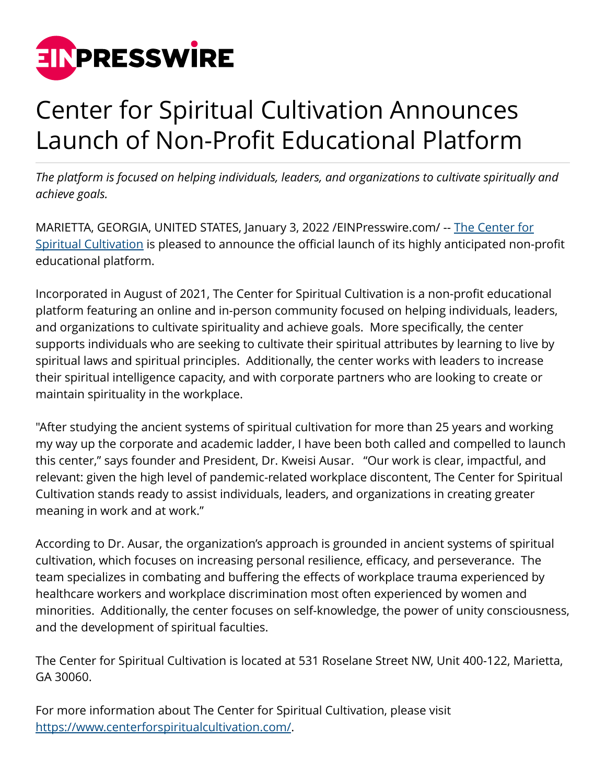

## Center for Spiritual Cultivation Announces Launch of Non-Profit Educational Platform

*The platform is focused on helping individuals, leaders, and organizations to cultivate spiritually and achieve goals.*

MARIETTA, GEORGIA, UNITED STATES, January 3, 2022 [/EINPresswire.com/](http://www.einpresswire.com) -- [The Center for](https://www.centerforspiritualcultivation.com) [Spiritual Cultivation](https://www.centerforspiritualcultivation.com) is pleased to announce the official launch of its highly anticipated non-profit educational platform.

Incorporated in August of 2021, The Center for Spiritual Cultivation is a non-profit educational platform featuring an online and in-person community focused on helping individuals, leaders, and organizations to cultivate spirituality and achieve goals. More specifically, the center supports individuals who are seeking to cultivate their spiritual attributes by learning to live by spiritual laws and spiritual principles. Additionally, the center works with leaders to increase their spiritual intelligence capacity, and with corporate partners who are looking to create or maintain spirituality in the workplace.

"After studying the ancient systems of spiritual cultivation for more than 25 years and working my way up the corporate and academic ladder, I have been both called and compelled to launch this center," says founder and President, Dr. Kweisi Ausar. "Our work is clear, impactful, and relevant: given the high level of pandemic-related workplace discontent, The Center for Spiritual Cultivation stands ready to assist individuals, leaders, and organizations in creating greater meaning in work and at work."

According to Dr. Ausar, the organization's approach is grounded in ancient systems of spiritual cultivation, which focuses on increasing personal resilience, efficacy, and perseverance. The team specializes in combating and buffering the effects of workplace trauma experienced by healthcare workers and workplace discrimination most often experienced by women and minorities. Additionally, the center focuses on self-knowledge, the power of unity consciousness, and the development of spiritual faculties.

The Center for Spiritual Cultivation is located at 531 Roselane Street NW, Unit 400-122, Marietta, GA 30060.

For more information about The Center for Spiritual Cultivation, please visit <https://www.centerforspiritualcultivation.com/>.